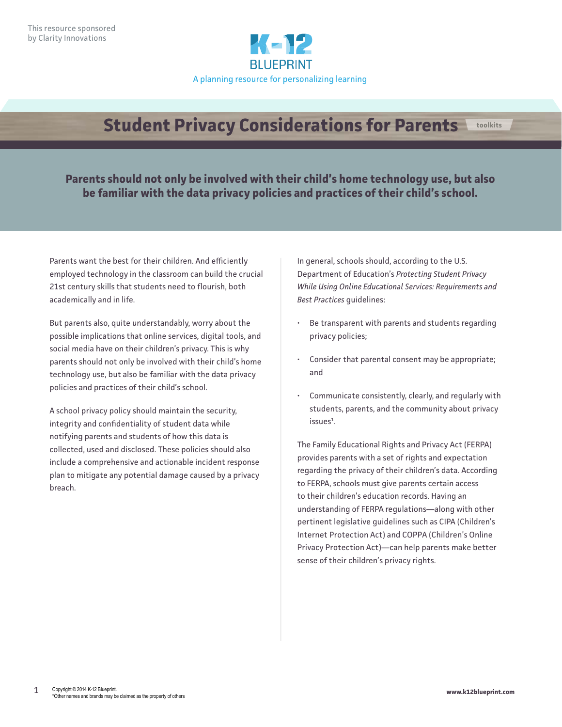

## **Student Privacy Considerations for Parents toolkits**

**Parents should not only be involved with their child's home technology use, but also be familiar with the data privacy policies and practices of their child's school.**

Parents want the best for their children. And efficiently employed technology in the classroom can build the crucial 21st century skills that students need to flourish, both academically and in life.

But parents also, quite understandably, worry about the possible implications that online services, digital tools, and social media have on their children's privacy. This is why parents should not only be involved with their child's home technology use, but also be familiar with the data privacy policies and practices of their child's school.

A school privacy policy should maintain the security, integrity and confidentiality of student data while notifying parents and students of how this data is collected, used and disclosed. These policies should also include a comprehensive and actionable incident response plan to mitigate any potential damage caused by a privacy breach.

In general, schools should, according to the U.S. Department of Education's *Protecting Student Privacy While Using Online Educational Services: Requirements and Best Practices* guidelines:

- Be transparent with parents and students regarding privacy policies;
- Consider that parental consent may be appropriate; and
- Communicate consistently, clearly, and regularly with students, parents, and the community about privacy  $is sues<sup>1</sup>.$

The Family Educational Rights and Privacy Act (FERPA) provides parents with a set of rights and expectation regarding the privacy of their children's data. According to FERPA, schools must give parents certain access to their children's education records. Having an understanding of FERPA regulations—along with other pertinent legislative guidelines such as CIPA (Children's Internet Protection Act) and COPPA (Children's Online Privacy Protection Act)—can help parents make better sense of their children's privacy rights.